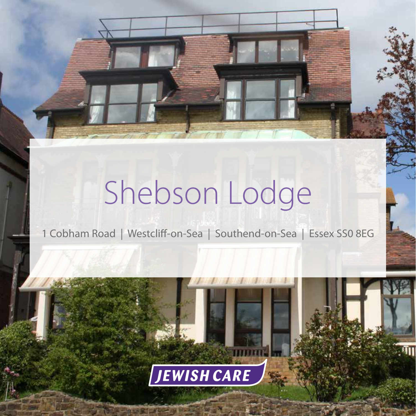## Shebson Lodge

1 Cobham Road | Westcliff-on-Sea | Southend-on-Sea | Essex SS0 8EG

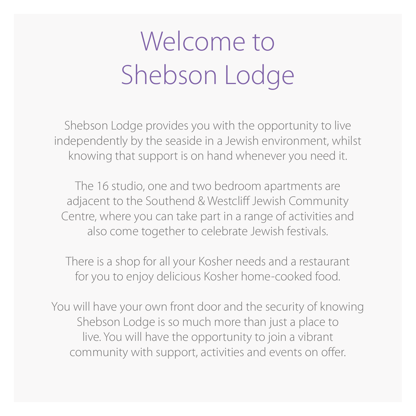## Welcome to Shebson Lodge

Shebson Lodge provides you with the opportunity to live independently by the seaside in a Jewish environment, whilst knowing that support is on hand whenever you need it.

The 16 studio, one and two bedroom apartments are adjacent to the Southend & Westcliff Jewish Community Centre, where you can take part in a range of activities and also come together to celebrate Jewish festivals.

There is a shop for all your Kosher needs and a restaurant for you to enjoy delicious Kosher home-cooked food.

You will have your own front door and the security of knowing Shebson Lodge is so much more than just a place to live. You will have the opportunity to join a vibrant community with support, activities and events on offer.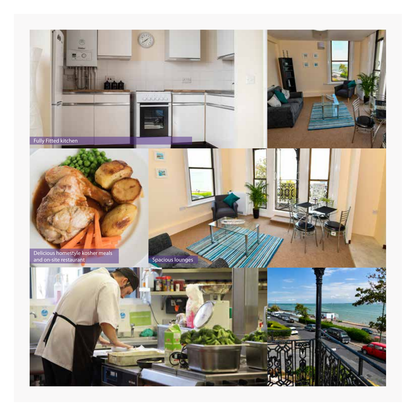